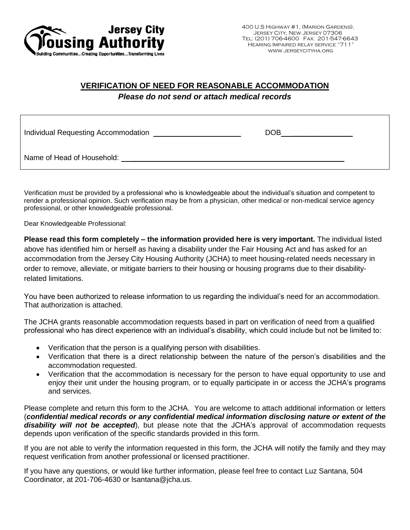

### **VERIFICATION OF NEED FOR REASONABLE ACCOMMODATION**

*Please do not send or attach medical records*

| Individual Requesting Accommodation | <b>DOB</b> |  |
|-------------------------------------|------------|--|
| Name of Head of Household:          |            |  |

Verification must be provided by a professional who is knowledgeable about the individual's situation and competent to render a professional opinion. Such verification may be from a physician, other medical or non-medical service agency professional, or other knowledgeable professional.

Dear Knowledgeable Professional:

**Please read this form completely – the information provided here is very important.** The individual listed above has identified him or herself as having a disability under the Fair Housing Act and has asked for an accommodation from the Jersey City Housing Authority (JCHA) to meet housing-related needs necessary in order to remove, alleviate, or mitigate barriers to their housing or housing programs due to their disabilityrelated limitations.

You have been authorized to release information to us regarding the individual's need for an accommodation. That authorization is attached.

The JCHA grants reasonable accommodation requests based in part on verification of need from a qualified professional who has direct experience with an individual's disability, which could include but not be limited to:

- Verification that the person is a qualifying person with disabilities.
- Verification that there is a direct relationship between the nature of the person's disabilities and the accommodation requested.
- Verification that the accommodation is necessary for the person to have equal opportunity to use and enjoy their unit under the housing program, or to equally participate in or access the JCHA's programs and services.

Please complete and return this form to the JCHA. You are welcome to attach additional information or letters (*confidential medical records or any confidential medical information disclosing nature or extent of the disability will not be accepted*), but please note that the JCHA's approval of accommodation requests depends upon verification of the specific standards provided in this form.

If you are not able to verify the information requested in this form, the JCHA will notify the family and they may request verification from another professional or licensed practitioner.

If you have any questions, or would like further information, please feel free to contact Luz Santana, 504 Coordinator, at 201-706-4630 or lsantana@jcha.us.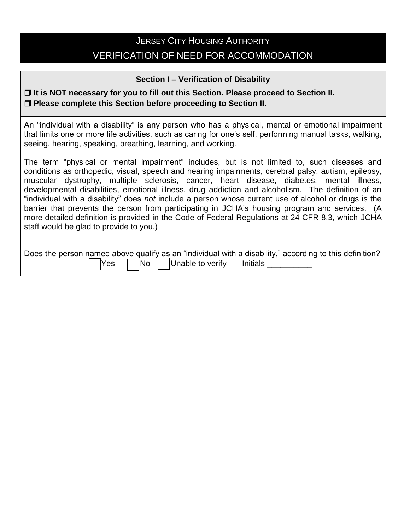## **JERSEY CITY HOUSING AUTHORITY** VERIFICATION OF NEED FOR ACCOMMODATION

### **Section I – Verification of Disability**

### **It is NOT necessary for you to fill out this Section. Please proceed to Section II. Please complete this Section before proceeding to Section II.**

An "individual with a disability" is any person who has a physical, mental or emotional impairment that limits one or more life activities, such as caring for one's self, performing manual tasks, walking, seeing, hearing, speaking, breathing, learning, and working.

The term "physical or mental impairment" includes, but is not limited to, such diseases and conditions as orthopedic, visual, speech and hearing impairments, cerebral palsy, autism, epilepsy, muscular dystrophy, multiple sclerosis, cancer, heart disease, diabetes, mental illness, developmental disabilities, emotional illness, drug addiction and alcoholism. The definition of an "individual with a disability" does *not* include a person whose current use of alcohol or drugs is the barrier that prevents the person from participating in JCHA's housing program and services. (A more detailed definition is provided in the Code of Federal Regulations at 24 CFR 8.3, which JCHA staff would be glad to provide to you.)

| Does the person named above qualify as an "individual with a disability," according to this definition? |  |  |                                      |  |  |
|---------------------------------------------------------------------------------------------------------|--|--|--------------------------------------|--|--|
|                                                                                                         |  |  | ■ Yes ■ No Unable to verify Initials |  |  |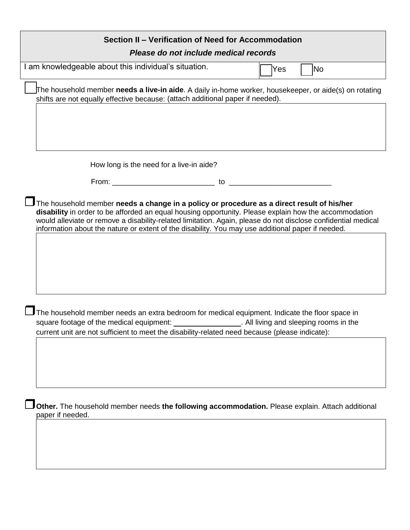| Section II - Verification of Need for Accommodation                                                                                                                                                                                                                                                                                                                                                                       |                  |
|---------------------------------------------------------------------------------------------------------------------------------------------------------------------------------------------------------------------------------------------------------------------------------------------------------------------------------------------------------------------------------------------------------------------------|------------------|
| Please do not include medical records                                                                                                                                                                                                                                                                                                                                                                                     |                  |
| I am knowledgeable about this individual's situation.                                                                                                                                                                                                                                                                                                                                                                     | Yes<br><b>No</b> |
| The household member <b>needs a live-in aide</b> . A daily in-home worker, housekeeper, or aide(s) on rotating<br>shifts are not equally effective because: (attach additional paper if needed).                                                                                                                                                                                                                          |                  |
|                                                                                                                                                                                                                                                                                                                                                                                                                           |                  |
| How long is the need for a live-in aide?                                                                                                                                                                                                                                                                                                                                                                                  |                  |
|                                                                                                                                                                                                                                                                                                                                                                                                                           |                  |
| The household member needs a change in a policy or procedure as a direct result of his/her<br>disability in order to be afforded an equal housing opportunity. Please explain how the accommodation<br>would alleviate or remove a disability-related limitation. Again, please do not disclose confidential medical<br>information about the nature or extent of the disability. You may use additional paper if needed. |                  |
| The household member needs an extra bedroom for medical equipment. Indicate the floor space in<br>square footage of the medical equipment: ___________________. All living and sleeping rooms in the<br>current unit are not sufficient to meet the disability-related need because (please indicate):                                                                                                                    |                  |
| Other. The household member needs the following accommodation. Please explain. Attach additional<br>paper if needed.                                                                                                                                                                                                                                                                                                      |                  |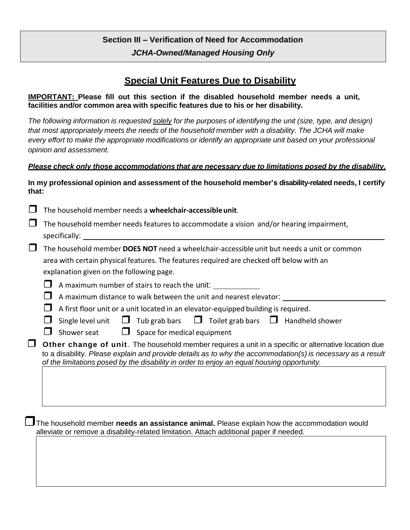### **Section III – Verification of Need for Accommodation** *JCHA-Owned/Managed Housing Only*

### **Special Unit Features Due to Disability**

**IMPORTANT: Please fill out this section if the disabled household member needs a unit, facilities and/or common area with specific features due to his or her disability.** 

*The following information is requested solely for the purposes of identifying the unit (size, type, and design) that most appropriately meets the needs of the household member with a disability. The JCHA will make every effort to make the appropriate modifications or identify an appropriate unit based on your professional opinion and assessment.*

#### *Please check only those accommodations that are necessary due to limitations posed by the disability.*

#### **In my professional opinion and assessment of the household member's disability-related needs, I certify that:**

|  | $\Box$ The household member needs a wheelchair-accessible unit. |
|--|-----------------------------------------------------------------|
|--|-----------------------------------------------------------------|

| $\Box$ The household member needs features to accommodate a vision and/or hearing impairment, |  |
|-----------------------------------------------------------------------------------------------|--|
| specifically:                                                                                 |  |

| $\Box$ The household member DOES NOT need a wheelchair-accessible unit but needs a unit or common |
|---------------------------------------------------------------------------------------------------|
| area with certain physical features. The features required are checked off below with an          |
| explanation given on the following page.                                                          |

 $\Box$  A maximum number of stairs to reach the unit:

 $\Box$  A maximum distance to walk between the unit and nearest elevator:  $\Box$ 

 $\Box$  A first floor unit or a unit located in an elevator-equipped building is required.

|  |  |  |  |  |  |  | $\Box$ Single level unit $\Box$ Tub grab bars $\Box$ Toilet grab bars $\Box$ Handheld shower |
|--|--|--|--|--|--|--|----------------------------------------------------------------------------------------------|
|--|--|--|--|--|--|--|----------------------------------------------------------------------------------------------|

 $\Box$  Shower seat  $\Box$  Space for medical equipment

 **Other change of unit**. The household member requires a unit in a specific or alternative location due to a disability. *Please explain and provide details as to why the accommodation(s) is necessary as a result of the limitations posed by the disability in order to enjoy an equal housing opportunity.* 

The household member **needs an assistance animal.** Please explain how the accommodation would alleviate or remove a disability-related limitation. Attach additional paper if needed.